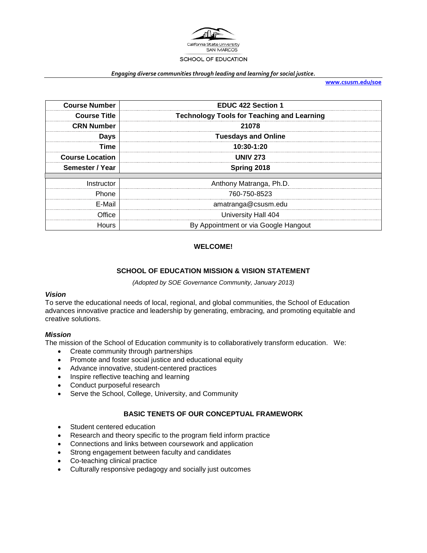

#### *Engaging diverse communities through leading and learning for social justice.*

**[www.csusm.edu/soe](http://www.csusm.edu/soe)**

| <b>Course Number</b>   | <b>EDUC 422 Section 1</b>                         |  |
|------------------------|---------------------------------------------------|--|
| <b>Course Title</b>    | <b>Technology Tools for Teaching and Learning</b> |  |
| <b>CRN Number</b>      | 21078                                             |  |
| Days                   | <b>Tuesdays and Online</b>                        |  |
| Time                   | 10:30-1:20                                        |  |
| <b>Course Location</b> | <b>UNIV 273</b>                                   |  |
| Semester / Year        | Spring 2018                                       |  |
|                        |                                                   |  |
| Instructor             | Anthony Matranga, Ph.D.                           |  |
| Phone                  | 760-750-8523                                      |  |
| E-Mail                 | amatranga@csusm.edu                               |  |
| Office                 | University Hall 404                               |  |
| Hours                  | By Appointment or via Google Hangout              |  |

#### **WELCOME!**

#### **SCHOOL OF EDUCATION MISSION & VISION STATEMENT**

*(Adopted by SOE Governance Community, January 2013)*

#### *Vision*

To serve the educational needs of local, regional, and global communities, the School of Education advances innovative practice and leadership by generating, embracing, and promoting equitable and creative solutions.

#### *Mission*

The mission of the School of Education community is to collaboratively transform education. We:

- Create community through partnerships
- Promote and foster social justice and educational equity
- Advance innovative, student-centered practices
- Inspire reflective teaching and learning
- Conduct purposeful research
- Serve the School, College, University, and Community

#### **BASIC TENETS OF OUR CONCEPTUAL FRAMEWORK**

- Student centered education
- Research and theory specific to the program field inform practice
- Connections and links between coursework and application
- Strong engagement between faculty and candidates
- Co-teaching clinical practice
- Culturally responsive pedagogy and socially just outcomes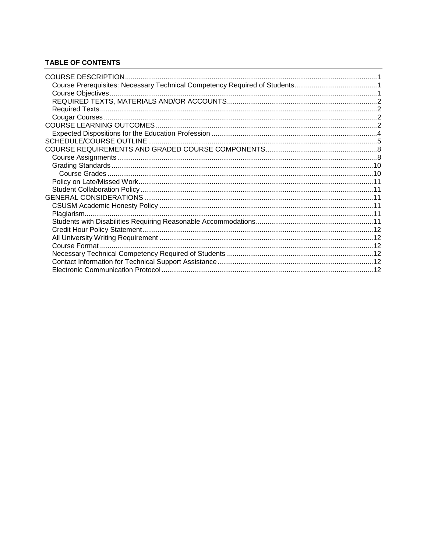### **TABLE OF CONTENTS**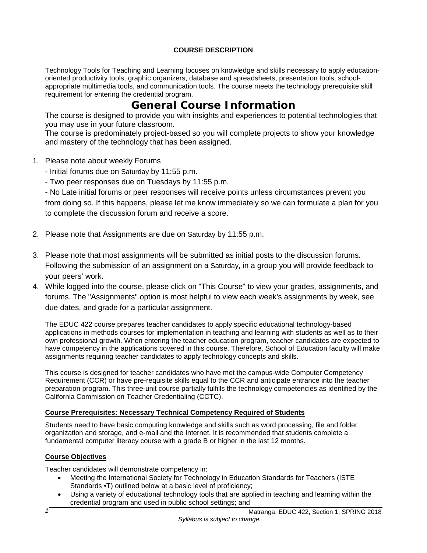### **COURSE DESCRIPTION**

<span id="page-2-0"></span>Technology Tools for Teaching and Learning focuses on knowledge and skills necessary to apply educationoriented productivity tools, graphic organizers, database and spreadsheets, presentation tools, schoolappropriate multimedia tools, and communication tools. The course meets the technology prerequisite skill requirement for entering the credential program.

# **General Course Information**

The course is designed to provide you with insights and experiences to potential technologies that you may use in your future classroom.

The course is predominately project-based so you will complete projects to show your knowledge and mastery of the technology that has been assigned.

- 1. Please note about weekly Forums
	- Initial forums due on Saturday by 11:55 p.m.
	- Two peer responses due on Tuesdays by 11:55 p.m.

- No Late initial forums or peer responses will receive points unless circumstances prevent you from doing so. If this happens, please let me know immediately so we can formulate a plan for you to complete the discussion forum and receive a score.

- 2. Please note that Assignments are due on Saturday by 11:55 p.m.
- 3. Please note that most assignments will be submitted as initial posts to the discussion forums. Following the submission of an assignment on a Saturday, in a group you will provide feedback to your peers' work.
- 4. While logged into the course, please click on "This Course" to view your grades, assignments, and forums. The "Assignments" option is most helpful to view each week's assignments by week, see due dates, and grade for a particular assignment.

The EDUC 422 course prepares teacher candidates to apply specific educational technology-based applications in methods courses for implementation in teaching and learning with students as well as to their own professional growth. When entering the teacher education program, teacher candidates are expected to have competency in the applications covered in this course. Therefore, School of Education faculty will make assignments requiring teacher candidates to apply technology concepts and skills.

This course is designed for teacher candidates who have met the campus-wide Computer Competency Requirement (CCR) or have pre-requisite skills equal to the CCR and anticipate entrance into the teacher preparation program. This three-unit course partially fulfills the technology competencies as identified by the California Commission on Teacher Credentialing (CCTC).

### <span id="page-2-1"></span>**Course Prerequisites: Necessary Technical Competency Required of Students**

Students need to have basic computing knowledge and skills such as word processing, file and folder organization and storage, and e-mail and the Internet. It is recommended that students complete a fundamental computer literacy course with a grade B or higher in the last 12 months.

### <span id="page-2-2"></span>**Course Objectives**

Teacher candidates will demonstrate competency in:

- Meeting the International Society for Technology in Education Standards for Teachers (ISTE Standards •T) outlined below at a basic level of proficiency;
- Using a variety of educational technology tools that are applied in teaching and learning within the credential program and used in public school settings; and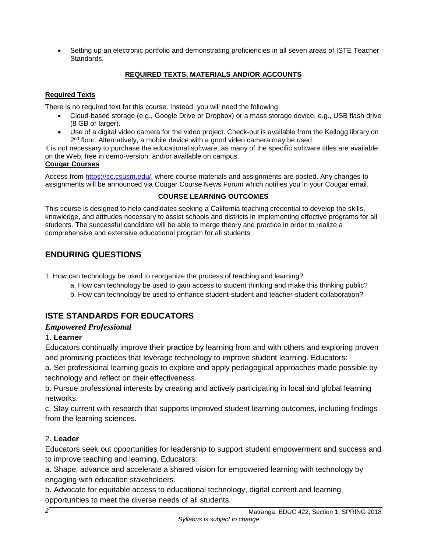• Setting up an electronic portfolio and demonstrating proficiencies in all seven areas of ISTE Teacher Standards.

### **REQUIRED TEXTS, MATERIALS AND/OR ACCOUNTS**

### <span id="page-3-1"></span><span id="page-3-0"></span>**Required Texts**

There is no required text for this course. Instead, you will need the following:

- Cloud-based storage (e.g., Google Drive or Dropbox) or a mass storage device, e.g., USB flash drive (8 GB or larger).
- Use of a digital video camera for the video project. Check-out is available from the Kellogg library on  $2<sup>nd</sup>$  floor. Alternatively, a mobile device with a good video camera may be used.

It is not necessary to purchase the educational software, as many of the specific software titles are available on the Web, free in demo-version, and/or available on campus.

### <span id="page-3-2"></span>**Cougar Courses**

Access from [https://cc.csusm.edu/,](https://cc.csusm.edu/) where course materials and assignments are posted. Any changes to assignments will be announced via Cougar Course News Forum which notifies you in your Cougar email.

# **COURSE LEARNING OUTCOMES**

<span id="page-3-3"></span>This course is designed to help candidates seeking a California teaching credential to develop the skills, knowledge, and attitudes necessary to assist schools and districts in implementing effective programs for all students. The successful candidate will be able to merge theory and practice in order to realize a comprehensive and extensive educational program for all students.

# **ENDURING QUESTIONS**

1. How can technology be used to reorganize the process of teaching and learning?

- a. How can technology be used to gain access to student thinking and make this thinking public?
- b. How can technology be used to enhance student-student and teacher-student collaboration?

# **ISTE STANDARDS FOR EDUCATORS**

### *Empowered Professional*

# 1. **Learner**

Educators continually improve their practice by learning from and with others and exploring proven and promising practices that leverage technology to improve student learning. Educators:

a. Set professional learning goals to explore and apply pedagogical approaches made possible by technology and reflect on their effectiveness.

b. Pursue professional interests by creating and actively participating in local and global learning networks.

c. Stay current with research that supports improved student learning outcomes, including findings from the learning sciences.

# 2. **Leader**

Educators seek out opportunities for leadership to support student empowerment and success and to improve teaching and learning. Educators:

a. Shape, advance and accelerate a shared vision for empowered learning with technology by engaging with education stakeholders.

b. Advocate for equitable access to educational technology, digital content and learning opportunities to meet the diverse needs of all students.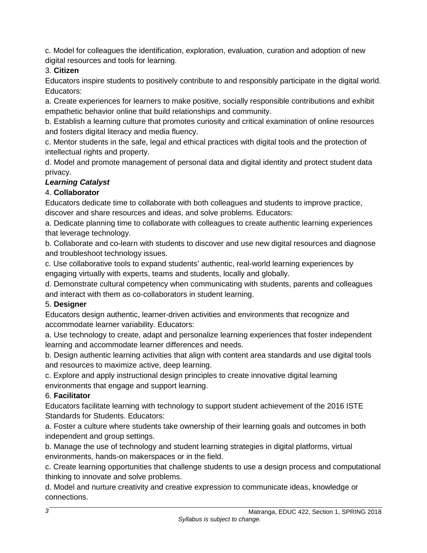c. Model for colleagues the identification, exploration, evaluation, curation and adoption of new digital resources and tools for learning.

# 3. **Citizen**

Educators inspire students to positively contribute to and responsibly participate in the digital world. Educators:

a. Create experiences for learners to make positive, socially responsible contributions and exhibit empathetic behavior online that build relationships and community.

b. Establish a learning culture that promotes curiosity and critical examination of online resources and fosters digital literacy and media fluency.

c. Mentor students in the safe, legal and ethical practices with digital tools and the protection of intellectual rights and property.

d. Model and promote management of personal data and digital identity and protect student data privacy.

# *Learning Catalyst*

# 4. **Collaborator**

Educators dedicate time to collaborate with both colleagues and students to improve practice, discover and share resources and ideas, and solve problems. Educators:

a. Dedicate planning time to collaborate with colleagues to create authentic learning experiences that leverage technology.

b. Collaborate and co-learn with students to discover and use new digital resources and diagnose and troubleshoot technology issues.

c. Use collaborative tools to expand students' authentic, real-world learning experiences by engaging virtually with experts, teams and students, locally and globally.

d. Demonstrate cultural competency when communicating with students, parents and colleagues and interact with them as co-collaborators in student learning.

# 5. **Designer**

Educators design authentic, learner-driven activities and environments that recognize and accommodate learner variability. Educators:

a. Use technology to create, adapt and personalize learning experiences that foster independent learning and accommodate learner differences and needs.

b. Design authentic learning activities that align with content area standards and use digital tools and resources to maximize active, deep learning.

c. Explore and apply instructional design principles to create innovative digital learning environments that engage and support learning.

# 6. **Facilitator**

Educators facilitate learning with technology to support student achievement of the 2016 ISTE Standards for Students. Educators:

a. Foster a culture where students take ownership of their learning goals and outcomes in both independent and group settings.

b. Manage the use of technology and student learning strategies in digital platforms, virtual environments, hands-on makerspaces or in the field.

c. Create learning opportunities that challenge students to use a design process and computational thinking to innovate and solve problems.

d. Model and nurture creativity and creative expression to communicate ideas, knowledge or connections.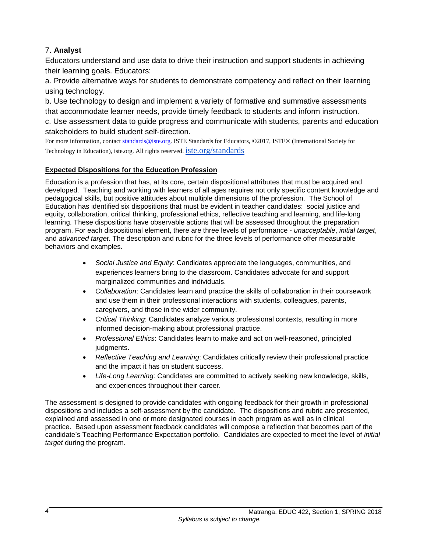# 7. **Analyst**

Educators understand and use data to drive their instruction and support students in achieving their learning goals. Educators:

a. Provide alternative ways for students to demonstrate competency and reflect on their learning using technology.

b. Use technology to design and implement a variety of formative and summative assessments that accommodate learner needs, provide timely feedback to students and inform instruction.

c. Use assessment data to guide progress and communicate with students, parents and education stakeholders to build student self-direction.

For more information, contac[t standards@iste.org.](mailto:standards@iste.org) ISTE Standards for Educators, ©2017, ISTE® (International Society for Technology in Education), iste.org. All rights reserved. [iste.org/standards](https://www.iste.org/standards/standards)

### <span id="page-5-0"></span>**Expected Dispositions for the Education Profession**

Education is a profession that has, at its core, certain dispositional attributes that must be acquired and developed. Teaching and working with learners of all ages requires not only specific content knowledge and pedagogical skills, but positive attitudes about multiple dimensions of the profession. The School of Education has identified six dispositions that must be evident in teacher candidates: social justice and equity, collaboration, critical thinking, professional ethics, reflective teaching and learning, and life-long learning. These dispositions have observable actions that will be assessed throughout the preparation program. For each dispositional element, there are three levels of performance - *unacceptable*, *initial target*, and *advanced target*. The description and rubric for the three levels of performance offer measurable behaviors and examples.

- *Social Justice and Equity*: Candidates appreciate the languages, communities, and experiences learners bring to the classroom. Candidates advocate for and support marginalized communities and individuals.
- *Collaboration*: Candidates learn and practice the skills of collaboration in their coursework and use them in their professional interactions with students, colleagues, parents, caregivers, and those in the wider community.
- *Critical Thinking*: Candidates analyze various professional contexts, resulting in more informed decision-making about professional practice.
- *Professional Ethics*: Candidates learn to make and act on well-reasoned, principled judgments.
- *Reflective Teaching and Learning*: Candidates critically review their professional practice and the impact it has on student success.
- *Life-Long Learning*: Candidates are committed to actively seeking new knowledge, skills, and experiences throughout their career.

The assessment is designed to provide candidates with ongoing feedback for their growth in professional dispositions and includes a self-assessment by the candidate. The dispositions and rubric are presented, explained and assessed in one or more designated courses in each program as well as in clinical practice. Based upon assessment feedback candidates will compose a reflection that becomes part of the candidate's Teaching Performance Expectation portfolio. Candidates are expected to meet the level of *initial target* during the program.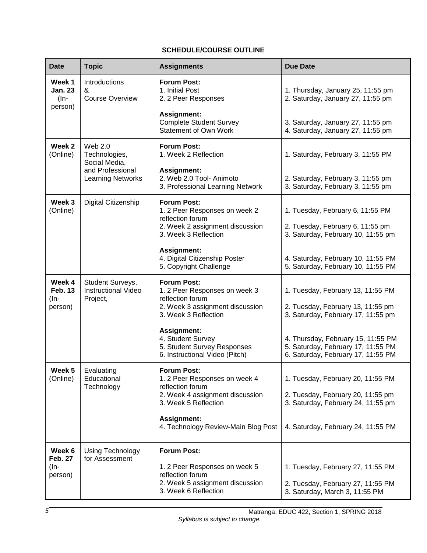### **SCHEDULE/COURSE OUTLINE**

<span id="page-6-0"></span>

| <b>Date</b>                                   | <b>Topic</b>                                               | <b>Assignments</b>                                                                                                                 | <b>Due Date</b>                                                                                                |
|-----------------------------------------------|------------------------------------------------------------|------------------------------------------------------------------------------------------------------------------------------------|----------------------------------------------------------------------------------------------------------------|
| Week 1<br><b>Jan. 23</b><br>$(In-$<br>person) | Introductions<br>&<br><b>Course Overview</b>               | <b>Forum Post:</b><br>1. Initial Post<br>2. 2 Peer Responses<br><b>Assignment:</b>                                                 | 1. Thursday, January 25, 11:55 pm<br>2. Saturday, January 27, 11:55 pm                                         |
|                                               |                                                            | <b>Complete Student Survey</b><br><b>Statement of Own Work</b>                                                                     | 3. Saturday, January 27, 11:55 pm<br>4. Saturday, January 27, 11:55 pm                                         |
| Week 2<br>(Online)                            | Web 2.0<br>Technologies,<br>Social Media,                  | <b>Forum Post:</b><br>1. Week 2 Reflection                                                                                         | 1. Saturday, February 3, 11:55 PM                                                                              |
|                                               | and Professional<br><b>Learning Networks</b>               | <b>Assignment:</b><br>2. Web 2.0 Tool- Animoto<br>3. Professional Learning Network                                                 | 2. Saturday, February 3, 11:55 pm<br>3. Saturday, February 3, 11:55 pm                                         |
| Week 3<br>(Online)                            | Digital Citizenship                                        | <b>Forum Post:</b><br>1. 2 Peer Responses on week 2<br>reflection forum                                                            | 1. Tuesday, February 6, 11:55 PM                                                                               |
|                                               |                                                            | 2. Week 2 assignment discussion<br>3. Week 3 Reflection                                                                            | 2. Tuesday, February 6, 11:55 pm<br>3. Saturday, February 10, 11:55 pm                                         |
|                                               |                                                            | <b>Assignment:</b><br>4. Digital Citizenship Poster<br>5. Copyright Challenge                                                      | 4. Saturday, February 10, 11:55 PM<br>5. Saturday, February 10, 11:55 PM                                       |
| Week 4<br><b>Feb. 13</b><br>(In-<br>person)   | Student Surveys,<br><b>Instructional Video</b><br>Project, | <b>Forum Post:</b><br>1. 2 Peer Responses on week 3<br>reflection forum<br>2. Week 3 assignment discussion<br>3. Week 3 Reflection | 1. Tuesday, February 13, 11:55 PM<br>2. Tuesday, February 13, 11:55 pm<br>3. Saturday, February 17, 11:55 pm   |
|                                               |                                                            | <b>Assignment:</b><br>4. Student Survey<br>5. Student Survey Responses<br>6. Instructional Video (Pitch)                           | 4. Thursday, February 15, 11:55 PM<br>5. Saturday, February 17, 11:55 PM<br>6. Saturday, February 17, 11:55 PM |
| Week 5<br>(Online)                            | Evaluating<br>Educational<br>Technology                    | <b>Forum Post:</b><br>1. 2 Peer Responses on week 4<br>reflection forum<br>2. Week 4 assignment discussion                         | 1. Tuesday, February 20, 11:55 PM<br>2. Tuesday, February 20, 11:55 pm                                         |
|                                               |                                                            | 3. Week 5 Reflection                                                                                                               | 3. Saturday, February 24, 11:55 pm                                                                             |
|                                               |                                                            | <b>Assignment:</b><br>4. Technology Review-Main Blog Post                                                                          | 4. Saturday, February 24, 11:55 PM                                                                             |
| Week 6<br><b>Feb. 27</b>                      | Using Technology<br>for Assessment                         | <b>Forum Post:</b>                                                                                                                 |                                                                                                                |
| (In-<br>person)                               |                                                            | 1. 2 Peer Responses on week 5<br>reflection forum<br>2. Week 5 assignment discussion<br>3. Week 6 Reflection                       | 1. Tuesday, February 27, 11:55 PM<br>2. Tuesday, February 27, 11:55 PM<br>3. Saturday, March 3, 11:55 PM       |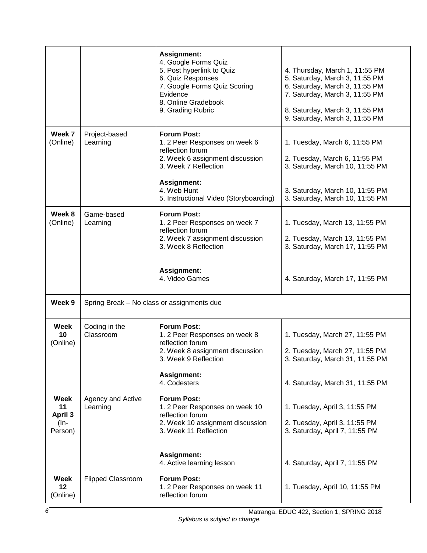|                                                    |                                            | <b>Assignment:</b><br>4. Google Forms Quiz<br>5. Post hyperlink to Quiz<br>6. Quiz Responses<br>7. Google Forms Quiz Scoring<br>Evidence<br>8. Online Gradebook<br>9. Grading Rubric     | 4. Thursday, March 1, 11:55 PM<br>5. Saturday, March 3, 11:55 PM<br>6. Saturday, March 3, 11:55 PM<br>7. Saturday, March 3, 11:55 PM<br>8. Saturday, March 3, 11:55 PM<br>9. Saturday, March 3, 11:55 PM |
|----------------------------------------------------|--------------------------------------------|------------------------------------------------------------------------------------------------------------------------------------------------------------------------------------------|----------------------------------------------------------------------------------------------------------------------------------------------------------------------------------------------------------|
| Week 7<br>(Online)                                 | Project-based<br>Learning                  | <b>Forum Post:</b><br>1. 2 Peer Responses on week 6<br>reflection forum<br>2. Week 6 assignment discussion<br>3. Week 7 Reflection<br><b>Assignment:</b><br>4. Web Hunt                  | 1. Tuesday, March 6, 11:55 PM<br>2. Tuesday, March 6, 11:55 PM<br>3. Saturday, March 10, 11:55 PM                                                                                                        |
|                                                    |                                            | 5. Instructional Video (Storyboarding)                                                                                                                                                   | 3. Saturday, March 10, 11:55 PM<br>3. Saturday, March 10, 11:55 PM                                                                                                                                       |
| Week 8<br>(Online)                                 | Game-based<br>Learning                     | <b>Forum Post:</b><br>1. 2 Peer Responses on week 7<br>reflection forum<br>2. Week 7 assignment discussion<br>3. Week 8 Reflection                                                       | 1. Tuesday, March 13, 11:55 PM<br>2. Tuesday, March 13, 11:55 PM<br>3. Saturday, March 17, 11:55 PM                                                                                                      |
|                                                    |                                            | <b>Assignment:</b><br>4. Video Games                                                                                                                                                     | 4. Saturday, March 17, 11:55 PM                                                                                                                                                                          |
| Week 9                                             | Spring Break - No class or assignments due |                                                                                                                                                                                          |                                                                                                                                                                                                          |
| Week<br>10<br>(Online)                             | Coding in the<br>Classroom                 | <b>Forum Post:</b><br>1. 2 Peer Responses on week 8<br>reflection forum<br>2. Week 8 assignment discussion<br>3. Week 9 Reflection<br><b>Assignment:</b><br>4. Codesters                 | 1. Tuesday, March 27, 11:55 PM<br>2. Tuesday, March 27, 11:55 PM<br>3. Saturday, March 31, 11:55 PM                                                                                                      |
| Week<br>11<br><b>April 3</b><br>$($ In-<br>Person) | Agency and Active<br>Learning              | <b>Forum Post:</b><br>1. 2 Peer Responses on week 10<br>reflection forum<br>2. Week 10 assignment discussion<br>3. Week 11 Reflection<br><b>Assignment:</b><br>4. Active learning lesson | 4. Saturday, March 31, 11:55 PM<br>1. Tuesday, April 3, 11:55 PM<br>2. Tuesday, April 3, 11:55 PM<br>3. Saturday, April 7, 11:55 PM<br>4. Saturday, April 7, 11:55 PM                                    |
| <b>Week</b><br>12<br>(Online)                      | <b>Flipped Classroom</b>                   | <b>Forum Post:</b><br>1. 2 Peer Responses on week 11<br>reflection forum                                                                                                                 | 1. Tuesday, April 10, 11:55 PM                                                                                                                                                                           |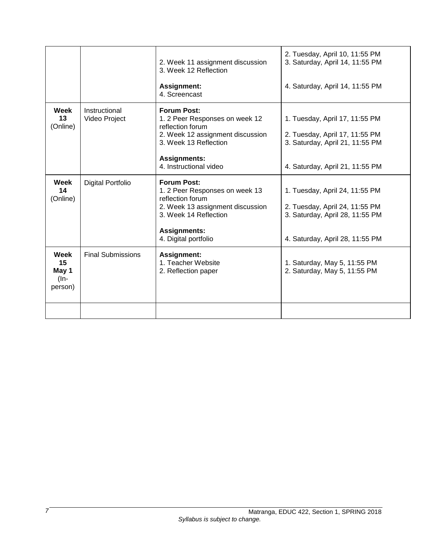|                                        |                                | 2. Week 11 assignment discussion<br>3. Week 12 Reflection                                                                                                                            | 2. Tuesday, April 10, 11:55 PM<br>3. Saturday, April 14, 11:55 PM                                                                      |
|----------------------------------------|--------------------------------|--------------------------------------------------------------------------------------------------------------------------------------------------------------------------------------|----------------------------------------------------------------------------------------------------------------------------------------|
|                                        |                                | <b>Assignment:</b><br>4. Screencast                                                                                                                                                  | 4. Saturday, April 14, 11:55 PM                                                                                                        |
| Week<br>13<br>(Online)                 | Instructional<br>Video Project | <b>Forum Post:</b><br>1. 2 Peer Responses on week 12<br>reflection forum<br>2. Week 12 assignment discussion<br>3. Week 13 Reflection                                                | 1. Tuesday, April 17, 11:55 PM<br>2. Tuesday, April 17, 11:55 PM<br>3. Saturday, April 21, 11:55 PM                                    |
|                                        |                                | <b>Assignments:</b><br>4. Instructional video                                                                                                                                        | 4. Saturday, April 21, 11:55 PM                                                                                                        |
| <b>Week</b><br>14<br>(Online)          | <b>Digital Portfolio</b>       | <b>Forum Post:</b><br>1. 2 Peer Responses on week 13<br>reflection forum<br>2. Week 13 assignment discussion<br>3. Week 14 Reflection<br><b>Assignments:</b><br>4. Digital portfolio | 1. Tuesday, April 24, 11:55 PM<br>2. Tuesday, April 24, 11:55 PM<br>3. Saturday, April 28, 11:55 PM<br>4. Saturday, April 28, 11:55 PM |
| Week<br>15<br>May 1<br>(In-<br>person) | <b>Final Submissions</b>       | <b>Assignment:</b><br>1. Teacher Website<br>2. Reflection paper                                                                                                                      | 1. Saturday, May 5, 11:55 PM<br>2. Saturday, May 5, 11:55 PM                                                                           |
|                                        |                                |                                                                                                                                                                                      |                                                                                                                                        |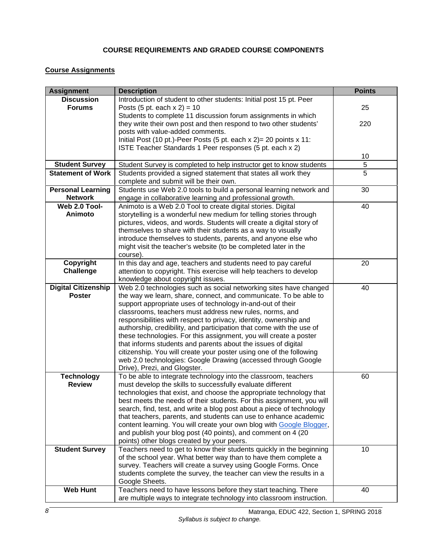### **COURSE REQUIREMENTS AND GRADED COURSE COMPONENTS**

# <span id="page-9-1"></span><span id="page-9-0"></span>**Course Assignments**

| <b>Assignment</b>          | <b>Description</b>                                                                              | <b>Points</b> |  |
|----------------------------|-------------------------------------------------------------------------------------------------|---------------|--|
| <b>Discussion</b>          | Introduction of student to other students: Initial post 15 pt. Peer                             |               |  |
| <b>Forums</b>              | Posts (5 pt. each $x 2$ ) = 10                                                                  | 25            |  |
|                            | Students to complete 11 discussion forum assignments in which                                   |               |  |
|                            | they write their own post and then respond to two other students'                               | 220           |  |
|                            | posts with value-added comments.                                                                |               |  |
|                            | Initial Post (10 pt.)-Peer Posts (5 pt. each x 2) = 20 points x 11:                             |               |  |
|                            | ISTE Teacher Standards 1 Peer responses (5 pt. each x 2)                                        |               |  |
|                            |                                                                                                 | 10            |  |
| <b>Student Survey</b>      | Student Survey is completed to help instructor get to know students                             | 5             |  |
| <b>Statement of Work</b>   | Students provided a signed statement that states all work they                                  | 5             |  |
|                            | complete and submit will be their own.                                                          |               |  |
| <b>Personal Learning</b>   | Students use Web 2.0 tools to build a personal learning network and                             | 30            |  |
| <b>Network</b>             | engage in collaborative learning and professional growth.                                       |               |  |
| Web 2.0 Tool-              | Animoto is a Web 2.0 Tool to create digital stories. Digital                                    | 40            |  |
| Animoto                    | storytelling is a wonderful new medium for telling stories through                              |               |  |
|                            | pictures, videos, and words. Students will create a digital story of                            |               |  |
|                            | themselves to share with their students as a way to visually                                    |               |  |
|                            | introduce themselves to students, parents, and anyone else who                                  |               |  |
|                            | might visit the teacher's website (to be completed later in the                                 |               |  |
|                            | course).                                                                                        |               |  |
| Copyright                  | In this day and age, teachers and students need to pay careful                                  | 20            |  |
| <b>Challenge</b>           | attention to copyright. This exercise will help teachers to develop                             |               |  |
|                            | knowledge about copyright issues.                                                               |               |  |
| <b>Digital Citizenship</b> | Web 2.0 technologies such as social networking sites have changed                               | 40            |  |
| <b>Poster</b>              | the way we learn, share, connect, and communicate. To be able to                                |               |  |
|                            | support appropriate uses of technology in-and-out of their                                      |               |  |
|                            | classrooms, teachers must address new rules, norms, and                                         |               |  |
|                            | responsibilities with respect to privacy, identity, ownership and                               |               |  |
|                            | authorship, credibility, and participation that come with the use of                            |               |  |
|                            | these technologies. For this assignment, you will create a poster                               |               |  |
|                            | that informs students and parents about the issues of digital                                   |               |  |
|                            | citizenship. You will create your poster using one of the following                             |               |  |
|                            | web 2.0 technologies: Google Drawing (accessed through Google                                   |               |  |
| <b>Technology</b>          | Drive), Prezi, and Glogster.<br>To be able to integrate technology into the classroom, teachers | 60            |  |
| <b>Review</b>              | must develop the skills to successfully evaluate different                                      |               |  |
|                            | technologies that exist, and choose the appropriate technology that                             |               |  |
|                            | best meets the needs of their students. For this assignment, you will                           |               |  |
|                            | search, find, test, and write a blog post about a piece of technology                           |               |  |
|                            | that teachers, parents, and students can use to enhance academic                                |               |  |
|                            | content learning. You will create your own blog with Google Blogger,                            |               |  |
|                            | and publish your blog post (40 points), and comment on 4 (20                                    |               |  |
|                            | points) other blogs created by your peers.                                                      |               |  |
| <b>Student Survey</b>      | Teachers need to get to know their students quickly in the beginning                            | 10            |  |
|                            | of the school year. What better way than to have them complete a                                |               |  |
|                            | survey. Teachers will create a survey using Google Forms. Once                                  |               |  |
|                            | students complete the survey, the teacher can view the results in a                             |               |  |
|                            | Google Sheets.                                                                                  |               |  |
| <b>Web Hunt</b>            | Teachers need to have lessons before they start teaching. There                                 | 40            |  |
|                            | are multiple ways to integrate technology into classroom instruction.                           |               |  |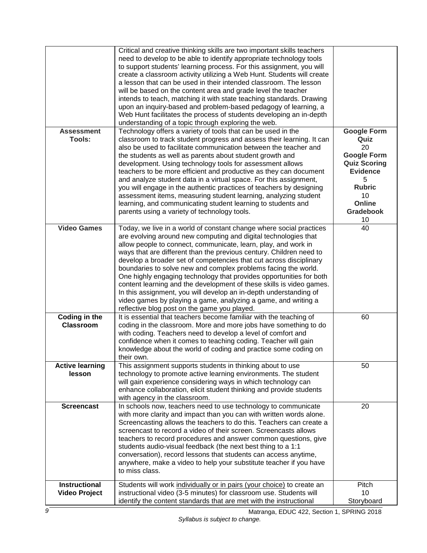|                                              | Critical and creative thinking skills are two important skills teachers<br>need to develop to be able to identify appropriate technology tools<br>to support students' learning process. For this assignment, you will<br>create a classroom activity utilizing a Web Hunt. Students will create<br>a lesson that can be used in their intended classroom. The lesson<br>will be based on the content area and grade level the teacher<br>intends to teach, matching it with state teaching standards. Drawing<br>upon an inquiry-based and problem-based pedagogy of learning, a<br>Web Hunt facilitates the process of students developing an in-depth<br>understanding of a topic through exploring the web.                                               |                                                                                                                              |
|----------------------------------------------|---------------------------------------------------------------------------------------------------------------------------------------------------------------------------------------------------------------------------------------------------------------------------------------------------------------------------------------------------------------------------------------------------------------------------------------------------------------------------------------------------------------------------------------------------------------------------------------------------------------------------------------------------------------------------------------------------------------------------------------------------------------|------------------------------------------------------------------------------------------------------------------------------|
| <b>Assessment</b><br>Tools:                  | Technology offers a variety of tools that can be used in the<br>classroom to track student progress and assess their learning. It can<br>also be used to facilitate communication between the teacher and<br>the students as well as parents about student growth and<br>development. Using technology tools for assessment allows<br>teachers to be more efficient and productive as they can document<br>and analyze student data in a virtual space. For this assignment,<br>you will engage in the authentic practices of teachers by designing<br>assessment items, measuring student learning, analyzing student                                                                                                                                        | <b>Google Form</b><br>Quiz<br>20<br><b>Google Form</b><br><b>Quiz Scoring</b><br><b>Evidence</b><br>5<br><b>Rubric</b><br>10 |
|                                              | learning, and communicating student learning to students and<br>parents using a variety of technology tools.                                                                                                                                                                                                                                                                                                                                                                                                                                                                                                                                                                                                                                                  | Online<br><b>Gradebook</b><br>10                                                                                             |
| <b>Video Games</b>                           | Today, we live in a world of constant change where social practices<br>are evolving around new computing and digital technologies that<br>allow people to connect, communicate, learn, play, and work in<br>ways that are different than the previous century. Children need to<br>develop a broader set of competencies that cut across disciplinary<br>boundaries to solve new and complex problems facing the world.<br>One highly engaging technology that provides opportunities for both<br>content learning and the development of these skills is video games.<br>In this assignment, you will develop an in-depth understanding of<br>video games by playing a game, analyzing a game, and writing a<br>reflective blog post on the game you played. | 40                                                                                                                           |
| Coding in the<br><b>Classroom</b>            | It is essential that teachers become familiar with the teaching of<br>coding in the classroom. More and more jobs have something to do<br>with coding. Teachers need to develop a level of comfort and<br>confidence when it comes to teaching coding. Teacher will gain<br>knowledge about the world of coding and practice some coding on<br>their own.                                                                                                                                                                                                                                                                                                                                                                                                     | 60                                                                                                                           |
| <b>Active learning</b><br>lesson             | This assignment supports students in thinking about to use<br>technology to promote active learning environments. The student<br>will gain experience considering ways in which technology can<br>enhance collaboration, elicit student thinking and provide students<br>with agency in the classroom.                                                                                                                                                                                                                                                                                                                                                                                                                                                        | 50                                                                                                                           |
| <b>Screencast</b>                            | In schools now, teachers need to use technology to communicate<br>with more clarity and impact than you can with written words alone.<br>Screencasting allows the teachers to do this. Teachers can create a<br>screencast to record a video of their screen. Screencasts allows<br>teachers to record procedures and answer common questions, give<br>students audio-visual feedback (the next best thing to a 1:1<br>conversation), record lessons that students can access anytime,<br>anywhere, make a video to help your substitute teacher if you have<br>to miss class.                                                                                                                                                                                | 20                                                                                                                           |
| <b>Instructional</b><br><b>Video Project</b> | Students will work individually or in pairs (your choice) to create an<br>instructional video (3-5 minutes) for classroom use. Students will<br>identify the content standards that are met with the instructional                                                                                                                                                                                                                                                                                                                                                                                                                                                                                                                                            | Pitch<br>10<br>Storyboard                                                                                                    |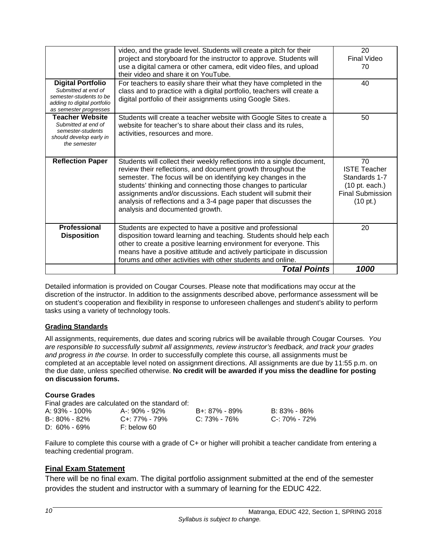|                                                                                                                                     | video, and the grade level. Students will create a pitch for their<br>project and storyboard for the instructor to approve. Students will<br>use a digital camera or other camera, edit video files, and upload<br>their video and share it on YouTube.                                                                                                                                                                                          | 20<br><b>Final Video</b><br>70                                                                                |
|-------------------------------------------------------------------------------------------------------------------------------------|--------------------------------------------------------------------------------------------------------------------------------------------------------------------------------------------------------------------------------------------------------------------------------------------------------------------------------------------------------------------------------------------------------------------------------------------------|---------------------------------------------------------------------------------------------------------------|
| <b>Digital Portfolio</b><br>Submitted at end of<br>semester-students to be<br>adding to digital portfolio<br>as semester progresses | For teachers to easily share their what they have completed in the<br>class and to practice with a digital portfolio, teachers will create a<br>digital portfolio of their assignments using Google Sites.                                                                                                                                                                                                                                       | 40                                                                                                            |
| <b>Teacher Website</b><br>Submitted at end of<br>semester-students<br>should develop early in<br>the semester                       | Students will create a teacher website with Google Sites to create a<br>website for teacher's to share about their class and its rules,<br>activities, resources and more.                                                                                                                                                                                                                                                                       | 50                                                                                                            |
| <b>Reflection Paper</b>                                                                                                             | Students will collect their weekly reflections into a single document,<br>review their reflections, and document growth throughout the<br>semester. The focus will be on identifying key changes in the<br>students' thinking and connecting those changes to particular<br>assignments and/or discussions. Each student will submit their<br>analysis of reflections and a 3-4 page paper that discusses the<br>analysis and documented growth. | 70<br><b>ISTE Teacher</b><br>Standards 1-7<br>$(10 \text{ pt. each.})$<br><b>Final Submission</b><br>(10 pt.) |
| <b>Professional</b><br><b>Disposition</b>                                                                                           | Students are expected to have a positive and professional<br>disposition toward learning and teaching. Students should help each<br>other to create a positive learning environment for everyone. This<br>means have a positive attitude and actively participate in discussion<br>forums and other activities with other students and online.                                                                                                   | 20                                                                                                            |
|                                                                                                                                     | <b>Total Points</b>                                                                                                                                                                                                                                                                                                                                                                                                                              | 1000                                                                                                          |

Detailed information is provided on Cougar Courses. Please note that modifications may occur at the discretion of the instructor. In addition to the assignments described above, performance assessment will be on student's cooperation and flexibility in response to unforeseen challenges and student's ability to perform tasks using a variety of technology tools.

### <span id="page-11-0"></span>**Grading Standards**

All assignments, requirements, due dates and scoring rubrics will be available through Cougar Courses. *You are responsible to successfully submit all assignments, review instructor's feedback, and track your grades and progress in the course.* In order to successfully complete this course, all assignments must be completed at an acceptable level noted on assignment directions. All assignments are due by 11:55 p.m. on the due date, unless specified otherwise. **No credit will be awarded if you miss the deadline for posting on discussion forums.**

### <span id="page-11-1"></span>**Course Grades**

Final grades are calculated on the standard of:

| A: 93% - 100%     | A-: 90% - 92% | B+: 87% - 89% | B: 83% - 86%  |
|-------------------|---------------|---------------|---------------|
| $B - 80\% - 82\%$ | C+: 77% - 79% | C: 73% - 76%  | C-: 70% - 72% |
| $D: 60\% - 69\%$  | F: below 60   |               |               |

Failure to complete this course with a grade of C+ or higher will prohibit a teacher candidate from entering a teaching credential program.

### **Final Exam Statement**

There will be no final exam. The digital portfolio assignment submitted at the end of the semester provides the student and instructor with a summary of learning for the EDUC 422.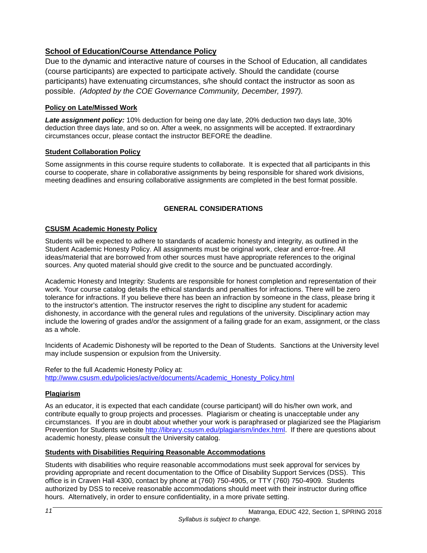### **School of Education/Course Attendance Policy**

Due to the dynamic and interactive nature of courses in the School of Education, all candidates (course participants) are expected to participate actively. Should the candidate (course participants) have extenuating circumstances, s/he should contact the instructor as soon as possible. *(Adopted by the COE Governance Community, December, 1997).*

### <span id="page-12-0"></span>**Policy on Late/Missed Work**

*Late assignment policy:* 10% deduction for being one day late, 20% deduction two days late, 30% deduction three days late, and so on. After a week, no assignments will be accepted. If extraordinary circumstances occur, please contact the instructor BEFORE the deadline.

### <span id="page-12-1"></span>**Student Collaboration Policy**

Some assignments in this course require students to collaborate. It is expected that all participants in this course to cooperate, share in collaborative assignments by being responsible for shared work divisions, meeting deadlines and ensuring collaborative assignments are completed in the best format possible.

### **GENERAL CONSIDERATIONS**

### <span id="page-12-3"></span><span id="page-12-2"></span>**CSUSM Academic Honesty Policy**

Students will be expected to adhere to standards of academic honesty and integrity, as outlined in the Student Academic Honesty Policy. All assignments must be original work, clear and error-free. All ideas/material that are borrowed from other sources must have appropriate references to the original sources. Any quoted material should give credit to the source and be punctuated accordingly.

Academic Honesty and Integrity: Students are responsible for honest completion and representation of their work. Your course catalog details the ethical standards and penalties for infractions. There will be zero tolerance for infractions. If you believe there has been an infraction by someone in the class, please bring it to the instructor's attention. The instructor reserves the right to discipline any student for academic dishonesty, in accordance with the general rules and regulations of the university. Disciplinary action may include the lowering of grades and/or the assignment of a failing grade for an exam, assignment, or the class as a whole.

Incidents of Academic Dishonesty will be reported to the Dean of Students. Sanctions at the University level may include suspension or expulsion from the University.

Refer to the full Academic Honesty Policy at: [http://www.csusm.edu/policies/active/documents/Academic\\_Honesty\\_Policy.html](http://www.csusm.edu/policies/active/documents/Academic_Honesty_Policy.html)

### <span id="page-12-4"></span>**Plagiarism**

As an educator, it is expected that each candidate (course participant) will do his/her own work, and contribute equally to group projects and processes. Plagiarism or cheating is unacceptable under any circumstances. If you are in doubt about whether your work is paraphrased or plagiarized see the Plagiarism Prevention for Students website [http://library.csusm.edu/plagiarism/index.html.](http://library.csusm.edu/plagiarism/index.html) If there are questions about academic honesty, please consult the University catalog.

### <span id="page-12-5"></span>**Students with Disabilities Requiring Reasonable Accommodations**

Students with disabilities who require reasonable accommodations must seek approval for services by providing appropriate and recent documentation to the Office of Disability Support Services (DSS). This office is in Craven Hall 4300, contact by phone at (760) 750-4905, or TTY (760) 750-4909. Students authorized by DSS to receive reasonable accommodations should meet with their instructor during office hours. Alternatively, in order to ensure confidentiality, in a more private setting.